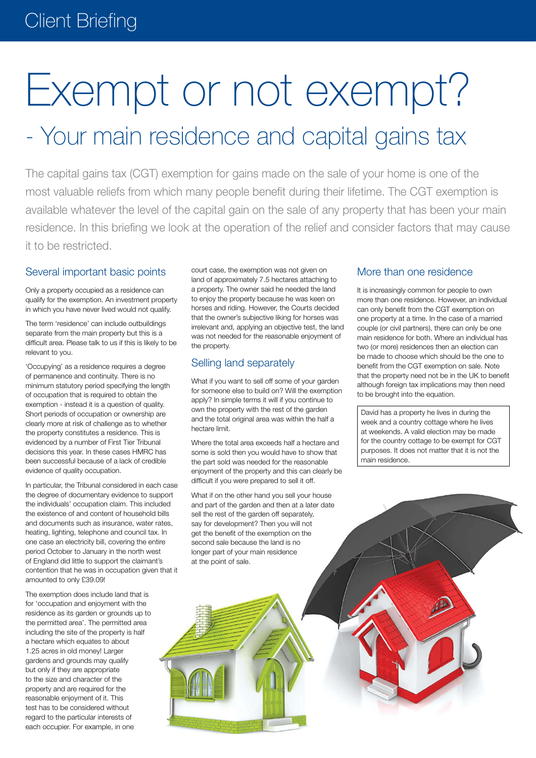# Exempt or not exempt?

# - Your main residence and capital gains tax

The capital gains tax (CGT) exemption for gains made on the sale of your home is one of the most valuable reliefs from which many people benefit during their lifetime. The CGT exemption is available whatever the level of the capital gain on the sale of any property that has been your main residence. In this briefing we look at the operation of the relief and consider factors that may cause it to be restricted.

#### Several important basic points

Only a property occupied as a residence can qualify for the exemption. An investment property in which you have never lived would not qualify.

The term 'residence' can include outbuildings separate from the main property but this is a difficult area. Please talk to us if this is likely to be relevant to you.

'Occupying' as a residence requires a degree of permanence and continuity. There is no minimum statutory period specifying the length of occupation that is required to obtain the exemption - instead it is a question of quality. Short periods of occupation or ownership are clearly more at risk of challenge as to whether the property constitutes a residence. This is evidenced by a number of First Tier Tribunal decisions this year. In these cases HMRC has been successful because of a lack of credible evidence of quality occupation.

In particular, the Tribunal considered in each case the degree of documentary evidence to support the individuals' occupation claim. This included the existence of and content of household bills and documents such as insurance, water rates, heating, lighting, telephone and council tax. In one case an electricity bill, covering the entire period October to January in the north west of England did little to support the claimant's contention that he was in occupation given that it amounted to only £39.09!

The exemption does include land that is for 'occupation and enjoyment with the residence as its garden or grounds up to the permitted area'. The permitted area including the site of the property is half a hectare which equates to about 1.25 acres in old money! Larger gardens and grounds may qualify but only if they are appropriate to the size and character of the property and are required for the reasonable enjoyment of it. This test has to be considered without regard to the particular interests of each occupier. For example, in one

court case, the exemption was not given on land of approximately 7.5 hectares attaching to a property. The owner said he needed the land to enjoy the property because he was keen on horses and riding. However, the Courts decided that the owner's subjective liking for horses was irrelevant and, applying an objective test, the land was not needed for the reasonable enjoyment of the property.

#### Selling land separately

What if you want to sell off some of your garden for someone else to build on? Will the exemption apply? In simple terms it will if you continue to own the property with the rest of the garden and the total original area was within the half a hectare limit.

Where the total area exceeds half a hectare and some is sold then you would have to show that the part sold was needed for the reasonable enjoyment of the property and this can clearly be difficult if you were prepared to sell it off.

What if on the other hand you sell your house and part of the garden and then at a later date sell the rest of the garden off separately, say for development? Then you will not get the benefit of the exemption on the second sale because the land is no longer part of your main residence at the point of sale.

# More than one residence

It is increasingly common for people to own more than one residence. However, an individual can only benefit from the CGT exemption on one property at a time. In the case of a married couple (or civil partners), there can only be one main residence for both. Where an individual has two (or more) residences then an election can be made to choose which should be the one to benefit from the CGT exemption on sale. Note that the property need not be in the UK to benefit although foreign tax implications may then need to be brought into the equation.

David has a property he lives in during the week and a country cottage where he lives at weekends. A valid election may be made for the country cottage to be exempt for CGT purposes. It does not matter that it is not the main residence.